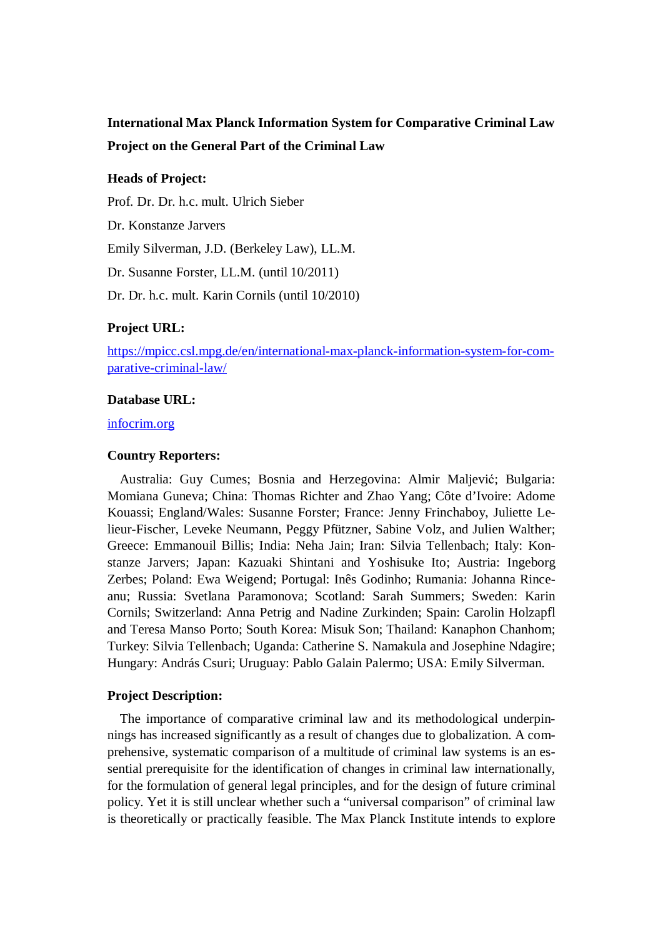# **International Max Planck Information System for Comparative Criminal Law Project on the General Part of the Criminal Law**

# **Heads of Project:**

Prof. Dr. Dr. h.c. mult. Ulrich Sieber Dr. Konstanze Jarvers Emily Silverman, J.D. (Berkeley Law), LL.M. Dr. Susanne Forster, LL.M. (until 10/2011) Dr. Dr. h.c. mult. Karin Cornils (until 10/2010)

# **Project URL:**

https://mpicc.csl.mpg.de/en/international-max-planck-information-system-for-comparative-criminal-law/

#### **Database URL:**

infocrim.org

### **Country Reporters:**

Australia: Guy Cumes; Bosnia and Herzegovina: Almir Maljević; Bulgaria: Momiana Guneva; China: Thomas Richter and Zhao Yang; Côte d'Ivoire: Adome Kouassi; England/Wales: Susanne Forster; France: Jenny Frinchaboy, Juliette Lelieur-Fischer, Leveke Neumann, Peggy Pfützner, Sabine Volz, and Julien Walther; Greece: Emmanouil Billis; India: Neha Jain; Iran: Silvia Tellenbach; Italy: Konstanze Jarvers; Japan: Kazuaki Shintani and Yoshisuke Ito; Austria: Ingeborg Zerbes; Poland: Ewa Weigend; Portugal: Inês Godinho; Rumania: Johanna Rinceanu; Russia: Svetlana Paramonova; Scotland: Sarah Summers; Sweden: Karin Cornils; Switzerland: Anna Petrig and Nadine Zurkinden; Spain: Carolin Holzapfl and Teresa Manso Porto; South Korea: Misuk Son; Thailand: Kanaphon Chanhom; Turkey: Silvia Tellenbach; Uganda: Catherine S. Namakula and Josephine Ndagire; Hungary: András Csuri; Uruguay: Pablo Galain Palermo; USA: Emily Silverman.

#### **Project Description:**

The importance of comparative criminal law and its methodological underpinnings has increased significantly as a result of changes due to globalization. A comprehensive, systematic comparison of a multitude of criminal law systems is an essential prerequisite for the identification of changes in criminal law internationally, for the formulation of general legal principles, and for the design of future criminal policy. Yet it is still unclear whether such a "universal comparison" of criminal law is theoretically or practically feasible. The Max Planck Institute intends to explore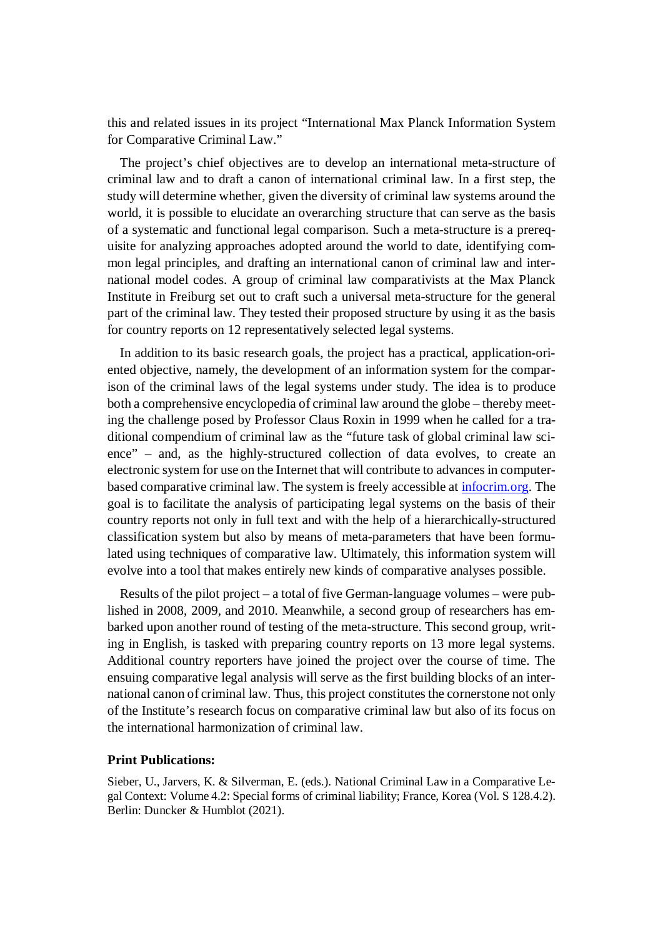this and related issues in its project "International Max Planck Information System for Comparative Criminal Law."

The project's chief objectives are to develop an international meta-structure of criminal law and to draft a canon of international criminal law. In a first step, the study will determine whether, given the diversity of criminal law systems around the world, it is possible to elucidate an overarching structure that can serve as the basis of a systematic and functional legal comparison. Such a meta-structure is a prerequisite for analyzing approaches adopted around the world to date, identifying common legal principles, and drafting an international canon of criminal law and international model codes. A group of criminal law comparativists at the Max Planck Institute in Freiburg set out to craft such a universal meta-structure for the general part of the criminal law. They tested their proposed structure by using it as the basis for country reports on 12 representatively selected legal systems.

In addition to its basic research goals, the project has a practical, application-oriented objective, namely, the development of an information system for the comparison of the criminal laws of the legal systems under study. The idea is to produce both a comprehensive encyclopedia of criminal law around the globe – thereby meeting the challenge posed by Professor Claus Roxin in 1999 when he called for a traditional compendium of criminal law as the "future task of global criminal law science" – and, as the highly-structured collection of data evolves, to create an electronic system for use on the Internet that will contribute to advances in computerbased comparative criminal law. The system is freely accessible at infocrim.org. The goal is to facilitate the analysis of participating legal systems on the basis of their country reports not only in full text and with the help of a hierarchically-structured classification system but also by means of meta-parameters that have been formulated using techniques of comparative law. Ultimately, this information system will evolve into a tool that makes entirely new kinds of comparative analyses possible.

Results of the pilot project – a total of five German-language volumes – were published in 2008, 2009, and 2010. Meanwhile, a second group of researchers has embarked upon another round of testing of the meta-structure. This second group, writing in English, is tasked with preparing country reports on 13 more legal systems. Additional country reporters have joined the project over the course of time. The ensuing comparative legal analysis will serve as the first building blocks of an international canon of criminal law. Thus, this project constitutes the cornerstone not only of the Institute's research focus on comparative criminal law but also of its focus on the international harmonization of criminal law.

#### **Print Publications:**

Sieber, U., Jarvers, K. & Silverman, E. (eds.). National Criminal Law in a Comparative Legal Context: Volume 4.2: Special forms of criminal liability; France, Korea (Vol. S 128.4.2). Berlin: Duncker & Humblot (2021).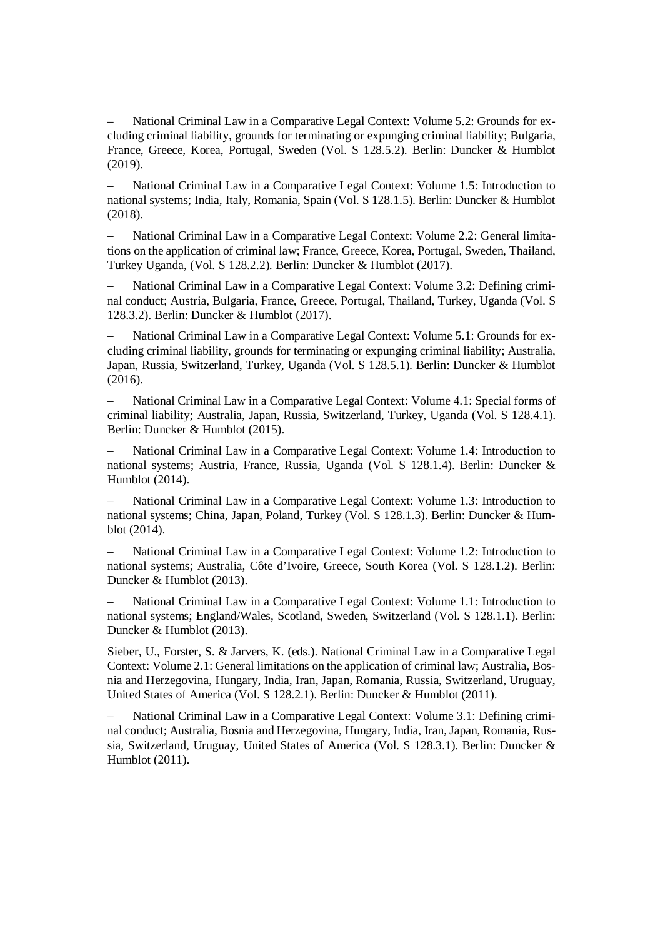– National Criminal Law in a Comparative Legal Context: Volume 5.2: Grounds for excluding criminal liability, grounds for terminating or expunging criminal liability; Bulgaria, France, Greece, Korea, Portugal, Sweden (Vol. S 128.5.2). Berlin: Duncker & Humblot (2019).

– National Criminal Law in a Comparative Legal Context: Volume 1.5: Introduction to national systems; India, Italy, Romania, Spain (Vol. S 128.1.5). Berlin: Duncker & Humblot (2018).

– National Criminal Law in a Comparative Legal Context: Volume 2.2: General limitations on the application of criminal law; France, Greece, Korea, Portugal, Sweden, Thailand, Turkey Uganda, (Vol. S 128.2.2). Berlin: Duncker & Humblot (2017).

– National Criminal Law in a Comparative Legal Context: Volume 3.2: Defining criminal conduct; Austria, Bulgaria, France, Greece, Portugal, Thailand, Turkey, Uganda (Vol. S 128.3.2). Berlin: Duncker & Humblot (2017).

– National Criminal Law in a Comparative Legal Context: Volume 5.1: Grounds for excluding criminal liability, grounds for terminating or expunging criminal liability; Australia, Japan, Russia, Switzerland, Turkey, Uganda (Vol. S 128.5.1). Berlin: Duncker & Humblot (2016).

– National Criminal Law in a Comparative Legal Context: Volume 4.1: Special forms of criminal liability; Australia, Japan, Russia, Switzerland, Turkey, Uganda (Vol. S 128.4.1). Berlin: Duncker & Humblot (2015).

– National Criminal Law in a Comparative Legal Context: Volume 1.4: Introduction to national systems; Austria, France, Russia, Uganda (Vol. S 128.1.4). Berlin: Duncker & Humblot (2014).

– National Criminal Law in a Comparative Legal Context: Volume 1.3: Introduction to national systems; China, Japan, Poland, Turkey (Vol. S 128.1.3). Berlin: Duncker & Humblot (2014).

– National Criminal Law in a Comparative Legal Context: Volume 1.2: Introduction to national systems; Australia, Côte d'Ivoire, Greece, South Korea (Vol. S 128.1.2). Berlin: Duncker & Humblot (2013).

– National Criminal Law in a Comparative Legal Context: Volume 1.1: Introduction to national systems; England/Wales, Scotland, Sweden, Switzerland (Vol. S 128.1.1). Berlin: Duncker & Humblot (2013).

Sieber, U., Forster, S. & Jarvers, K. (eds.). National Criminal Law in a Comparative Legal Context: Volume 2.1: General limitations on the application of criminal law; Australia, Bosnia and Herzegovina, Hungary, India, Iran, Japan, Romania, Russia, Switzerland, Uruguay, United States of America (Vol. S 128.2.1). Berlin: Duncker & Humblot (2011).

– National Criminal Law in a Comparative Legal Context: Volume 3.1: Defining criminal conduct; Australia, Bosnia and Herzegovina, Hungary, India, Iran, Japan, Romania, Russia, Switzerland, Uruguay, United States of America (Vol. S 128.3.1). Berlin: Duncker & Humblot (2011).